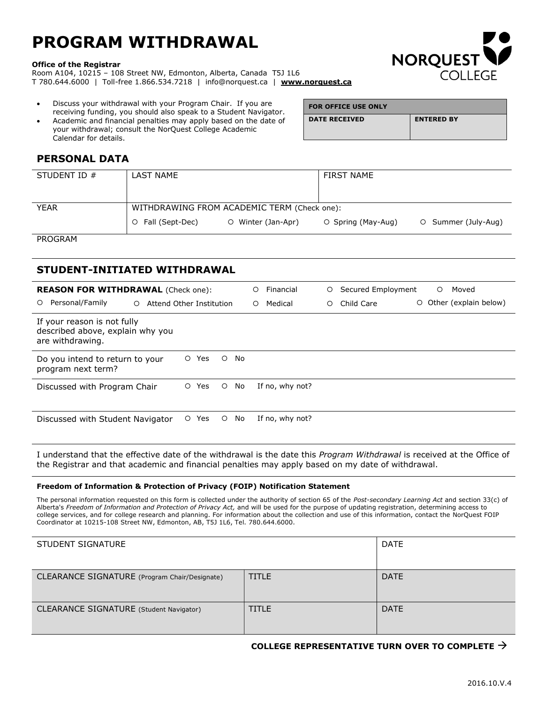# **PROGRAM WITHDRAWAL**

#### **Office of the Registrar**

Room A104, 10215 – 108 Street NW, Edmonton, Alberta, Canada T5J 1L6 T 780.644.6000 | Toll-free 1.866.534.7218 | info@norquest.ca | **[www.norquest.ca](http://www.norquest.ca/)**

- Discuss your withdrawal with your Program Chair. If you are receiving funding, you should also speak to a Student Navigator.
- Academic and financial penalties may apply based on the date of your withdrawal; consult the NorQuest College Academic Calendar for details.

| <b>FOR OFFICE USE ONLY</b> |                   |
|----------------------------|-------------------|
| <b>DATE RECEIVED</b>       | <b>ENTERED BY</b> |
|                            |                   |

**NORQUEST** 

## **PERSONAL DATA**

| STUDENT ID $#$ | LAST NAME                                   |                    | <b>FIRST NAME</b>  |                     |
|----------------|---------------------------------------------|--------------------|--------------------|---------------------|
|                |                                             |                    |                    |                     |
| <b>YEAR</b>    | WITHDRAWING FROM ACADEMIC TERM (Check one): |                    |                    |                     |
|                | O Fall (Sept-Dec)                           | O Winter (Jan-Apr) | O Spring (May-Aug) | O Summer (July-Aug) |

PROGRAM

### **STUDENT-INITIATED WITHDRAWAL**

| <b>REASON FOR WITHDRAWAL</b> (Check one):<br>Personal/Family<br>$\circ$<br>$\circ$  | Attend Other Institution        | Financial<br>Ο<br>Medical<br>$\circ$ | Secured Employment<br>Moved<br>$\circ$<br>$\circ$<br>Other (explain below)<br>$\circ$<br>Child Care<br>$\circ$ |
|-------------------------------------------------------------------------------------|---------------------------------|--------------------------------------|----------------------------------------------------------------------------------------------------------------|
| If your reason is not fully<br>described above, explain why you<br>are withdrawing. |                                 |                                      |                                                                                                                |
| Do you intend to return to your<br>program next term?                               | Yes<br>No<br>$\circ$<br>$\circ$ |                                      |                                                                                                                |
| Discussed with Program Chair                                                        | No<br>Yes<br>$\circ$<br>$\circ$ | If no, why not?                      |                                                                                                                |
| Discussed with Student Navigator                                                    | Yes<br>No<br>$\circ$<br>$\circ$ | If no, why not?                      |                                                                                                                |

I understand that the effective date of the withdrawal is the date this *Program Withdrawal* is received at the Office of the Registrar and that academic and financial penalties may apply based on my date of withdrawal.

#### **Freedom of Information & Protection of Privacy (FOIP) Notification Statement**

The personal information requested on this form is collected under the authority of section 65 of the *Post-secondary Learning Act* and section 33(c) of Alberta's *Freedom of Information and Protection of Privacy Act,* and will be used for the purpose of updating registration, determining access to college services, and for college research and planning. For information about the collection and use of this information, contact the NorQuest FOIP Coordinator at 10215-108 Street NW, Edmonton, AB, T5J 1L6, Tel. 780.644.6000.

| STUDENT SIGNATURE                             |              | <b>DATE</b> |
|-----------------------------------------------|--------------|-------------|
| CLEARANCE SIGNATURE (Program Chair/Designate) | <b>TITLE</b> | <b>DATE</b> |
| CLEARANCE SIGNATURE (Student Navigator)       | <b>TITLE</b> | <b>DATE</b> |

#### **COLLEGE REPRESENTATIVE TURN OVER TO COMPLETE**